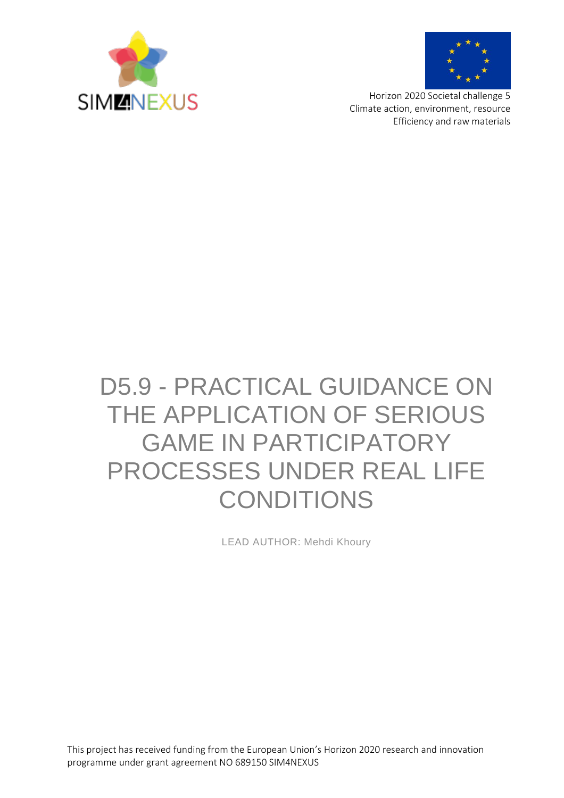



Horizon 2020 Societal challenge 5 Climate action, environment, resource Efficiency and raw materials

# D5.9 - PRACTICAL GUIDANCE ON THE APPLICATION OF SERIOUS GAME IN PARTICIPATORY PROCESSES UNDER REAL LIFE CONDITIONS

LEAD AUTHOR: Mehdi Khoury

This project has received funding from the European Union's Horizon 2020 research and innovation programme under grant agreement NO 689150 SIM4NEXUS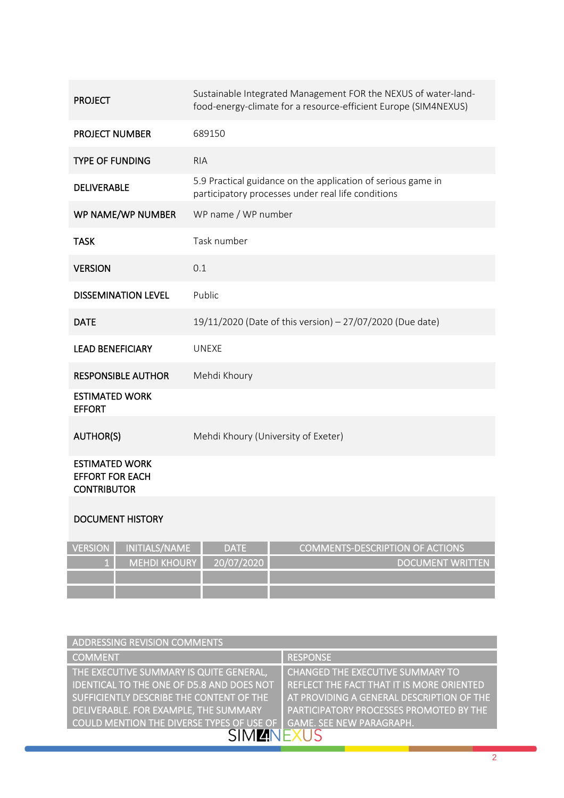| <b>PROJECT</b>                                                        | Sustainable Integrated Management FOR the NEXUS of water-land-<br>food-energy-climate for a resource-efficient Europe (SIM4NEXUS) |
|-----------------------------------------------------------------------|-----------------------------------------------------------------------------------------------------------------------------------|
| <b>PROJECT NUMBER</b>                                                 | 689150                                                                                                                            |
| <b>TYPE OF FUNDING</b>                                                | <b>RIA</b>                                                                                                                        |
| <b>DELIVERABLE</b>                                                    | 5.9 Practical guidance on the application of serious game in<br>participatory processes under real life conditions                |
| WP NAME/WP NUMBER                                                     | WP name / WP number                                                                                                               |
| <b>TASK</b>                                                           | Task number                                                                                                                       |
| <b>VERSION</b>                                                        | 0.1                                                                                                                               |
| <b>DISSEMINATION LEVEL</b>                                            | Public                                                                                                                            |
| <b>DATE</b>                                                           | 19/11/2020 (Date of this version) - 27/07/2020 (Due date)                                                                         |
| <b>LEAD BENEFICIARY</b>                                               | <b>UNEXE</b>                                                                                                                      |
| <b>RESPONSIBLE AUTHOR</b>                                             | Mehdi Khoury                                                                                                                      |
| <b>ESTIMATED WORK</b><br><b>EFFORT</b>                                |                                                                                                                                   |
| <b>AUTHOR(S)</b>                                                      | Mehdi Khoury (University of Exeter)                                                                                               |
| <b>ESTIMATED WORK</b><br><b>EFFORT FOR EACH</b><br><b>CONTRIBUTOR</b> |                                                                                                                                   |

#### DOCUMENT HISTORY

| VERSION I | INITIALS/NAME       | <b>DATE</b> | <b>COMMENTS-DESCRIPTION OF ACTIONS</b> |
|-----------|---------------------|-------------|----------------------------------------|
|           | <b>MEHDI KHOURY</b> | 20/07/2020  | I DOCUMENT WRITTEN                     |
|           |                     |             |                                        |
|           |                     |             |                                        |

| ADDRESSING REVISION COMMENTS                                                 |                                                |  |
|------------------------------------------------------------------------------|------------------------------------------------|--|
| <b>COMMENT</b>                                                               | <b>RESPONSE</b>                                |  |
| THE EXECUTIVE SUMMARY IS QUITE GENERAL,                                      | <b>CHANGED THE EXECUTIVE SUMMARY TO</b>        |  |
| IDENTICAL TO THE ONE OF D5.8 AND DOES NOT                                    | REFLECT THE FACT THAT IT IS MORE ORIENTED      |  |
| SUFFICIENTLY DESCRIBE THE CONTENT OF THE                                     | AT PROVIDING A GENERAL DESCRIPTION OF THE      |  |
| DELIVERABLE. FOR EXAMPLE, THE SUMMARY                                        | <b>PARTICIPATORY PROCESSES PROMOTED BY THE</b> |  |
| COULD MENTION THE DIVERSE TYPES OF USE OF<br><b>GAME. SEE NEW PARAGRAPH.</b> |                                                |  |
|                                                                              |                                                |  |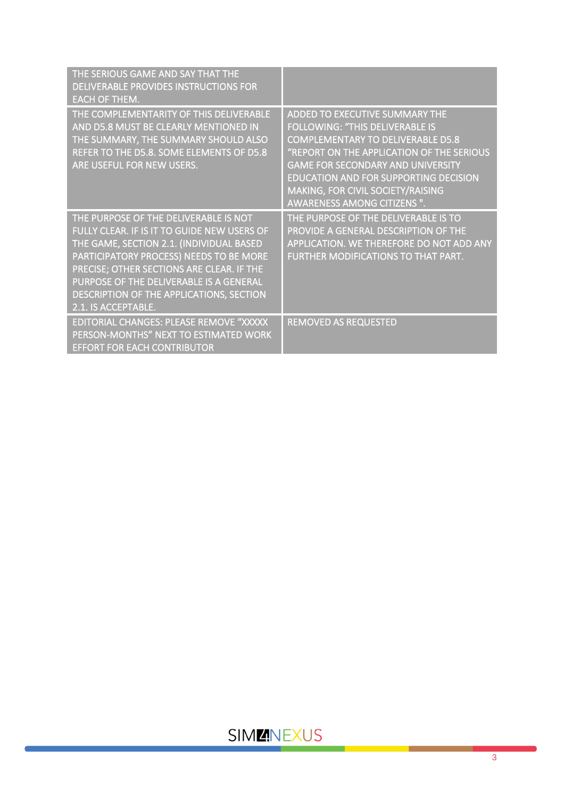| THE SERIOUS GAME AND SAY THAT THE<br>DELIVERABLE PROVIDES INSTRUCTIONS FOR<br><b>EACH OF THEM.</b>                                                                                                                                                                                                                                     |                                                                                                                                                                                                                                                                                                                                          |
|----------------------------------------------------------------------------------------------------------------------------------------------------------------------------------------------------------------------------------------------------------------------------------------------------------------------------------------|------------------------------------------------------------------------------------------------------------------------------------------------------------------------------------------------------------------------------------------------------------------------------------------------------------------------------------------|
| THE COMPLEMENTARITY OF THIS DELIVERABLE<br>AND D5.8 MUST BE CLEARLY MENTIONED IN<br>THE SUMMARY, THE SUMMARY SHOULD ALSO<br>REFER TO THE D5.8. SOME ELEMENTS OF D5.8<br>ARE USEFUL FOR NEW USERS.                                                                                                                                      | ADDED TO EXECUTIVE SUMMARY THE<br><b>FOLLOWING: "THIS DELIVERABLE IS</b><br><b>COMPLEMENTARY TO DELIVERABLE D5.8</b><br>"REPORT ON THE APPLICATION OF THE SERIOUS<br><b>GAME FOR SECONDARY AND UNIVERSITY</b><br><b>EDUCATION AND FOR SUPPORTING DECISION</b><br>MAKING, FOR CIVIL SOCIETY/RAISING<br><b>AWARENESS AMONG CITIZENS ".</b> |
| THE PURPOSE OF THE DELIVERABLE IS NOT<br>FULLY CLEAR. IF IS IT TO GUIDE NEW USERS OF<br>THE GAME, SECTION 2.1. (INDIVIDUAL BASED<br>PARTICIPATORY PROCESS) NEEDS TO BE MORE<br>PRECISE; OTHER SECTIONS ARE CLEAR. IF THE<br>PURPOSE OF THE DELIVERABLE IS A GENERAL<br>DESCRIPTION OF THE APPLICATIONS, SECTION<br>2.1. IS ACCEPTABLE. | THE PURPOSE OF THE DELIVERABLE IS TO<br>PROVIDE A GENERAL DESCRIPTION OF THE<br>APPLICATION. WE THEREFORE DO NOT ADD ANY<br>FURTHER MODIFICATIONS TO THAT PART.                                                                                                                                                                          |
| EDITORIAL CHANGES: PLEASE REMOVE "XXXXX<br>PERSON-MONTHS" NEXT TO ESTIMATED WORK<br><b>EFFORT FOR EACH CONTRIBUTOR</b>                                                                                                                                                                                                                 | <b>REMOVED AS REQUESTED</b>                                                                                                                                                                                                                                                                                                              |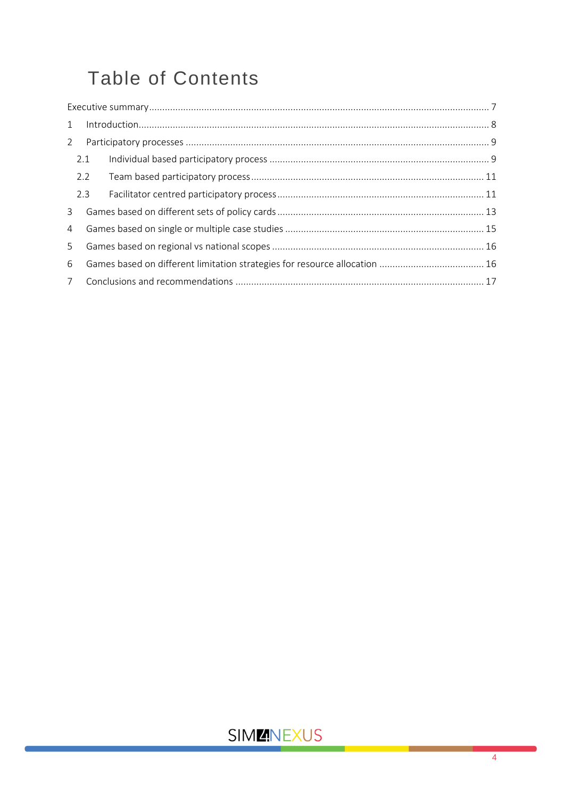## **Table of Contents**

| 1              |     | $\label{eq:inter} \begin{minipage}{0.9\linewidth} \begin{minipage}{0.9\linewidth} \begin{minipage}{0.9\linewidth} \begin{minipage}{0.9\linewidth} \begin{minipage}{0.9\linewidth} \end{minipage} \begin{minipage}{0.9\linewidth} \end{minipage} \begin{minipage}{0.9\linewidth} \begin{minipage}{0.9\linewidth} \end{minipage} \begin{minipage}{0.9\linewidth} \end{minipage} \begin{minipage}{0.9\linewidth} \begin{minipage}{0.9\linewidth} \end{minipage} \begin{minipage}{0.9\linewidth} \end{minipage} \begin{minipage}{0.9\linewidth} \end$ |  |
|----------------|-----|---------------------------------------------------------------------------------------------------------------------------------------------------------------------------------------------------------------------------------------------------------------------------------------------------------------------------------------------------------------------------------------------------------------------------------------------------------------------------------------------------------------------------------------------------|--|
| 2              |     |                                                                                                                                                                                                                                                                                                                                                                                                                                                                                                                                                   |  |
|                | 2.1 |                                                                                                                                                                                                                                                                                                                                                                                                                                                                                                                                                   |  |
|                | 2.2 |                                                                                                                                                                                                                                                                                                                                                                                                                                                                                                                                                   |  |
|                | 2.3 |                                                                                                                                                                                                                                                                                                                                                                                                                                                                                                                                                   |  |
| 3              |     |                                                                                                                                                                                                                                                                                                                                                                                                                                                                                                                                                   |  |
| $\overline{4}$ |     |                                                                                                                                                                                                                                                                                                                                                                                                                                                                                                                                                   |  |
| 5 <sup>1</sup> |     |                                                                                                                                                                                                                                                                                                                                                                                                                                                                                                                                                   |  |
| 6              |     |                                                                                                                                                                                                                                                                                                                                                                                                                                                                                                                                                   |  |
|                |     |                                                                                                                                                                                                                                                                                                                                                                                                                                                                                                                                                   |  |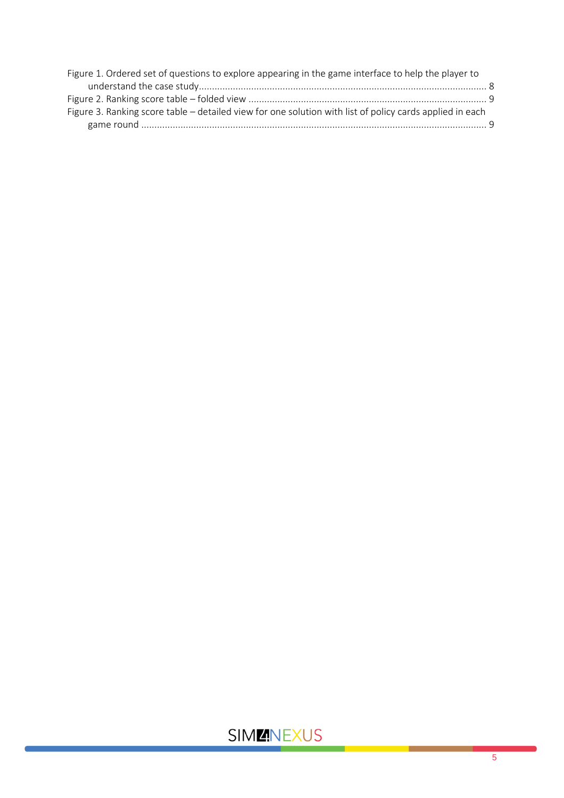| Figure 1. Ordered set of questions to explore appearing in the game interface to help the player to      |  |
|----------------------------------------------------------------------------------------------------------|--|
|                                                                                                          |  |
|                                                                                                          |  |
| Figure 3. Ranking score table – detailed view for one solution with list of policy cards applied in each |  |
|                                                                                                          |  |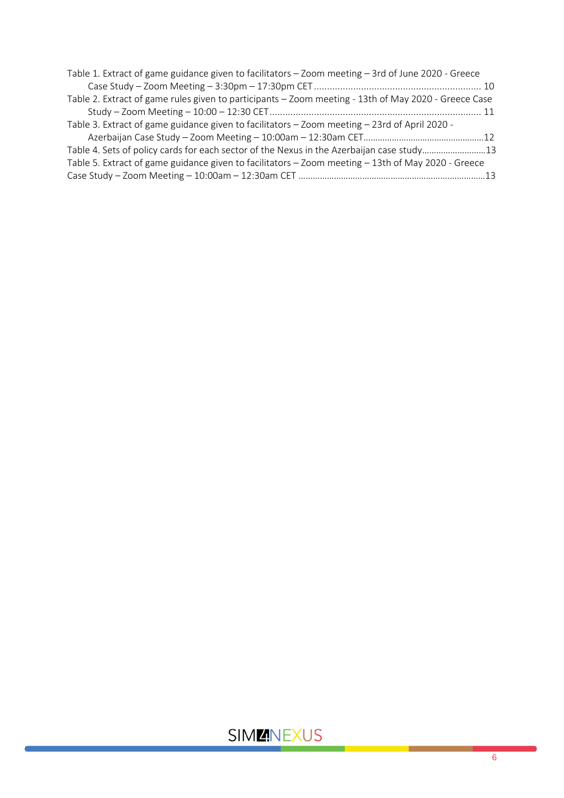| Table 1. Extract of game guidance given to facilitators – Zoom meeting – 3rd of June 2020 - Greece   |  |
|------------------------------------------------------------------------------------------------------|--|
|                                                                                                      |  |
| Table 2. Extract of game rules given to participants - Zoom meeting - 13th of May 2020 - Greece Case |  |
|                                                                                                      |  |
| Table 3. Extract of game guidance given to facilitators - Zoom meeting - 23rd of April 2020 -        |  |
|                                                                                                      |  |
| Table 4. Sets of policy cards for each sector of the Nexus in the Azerbaijan case study13            |  |
| Table 5. Extract of game guidance given to facilitators – Zoom meeting – 13th of May 2020 - Greece   |  |
|                                                                                                      |  |
|                                                                                                      |  |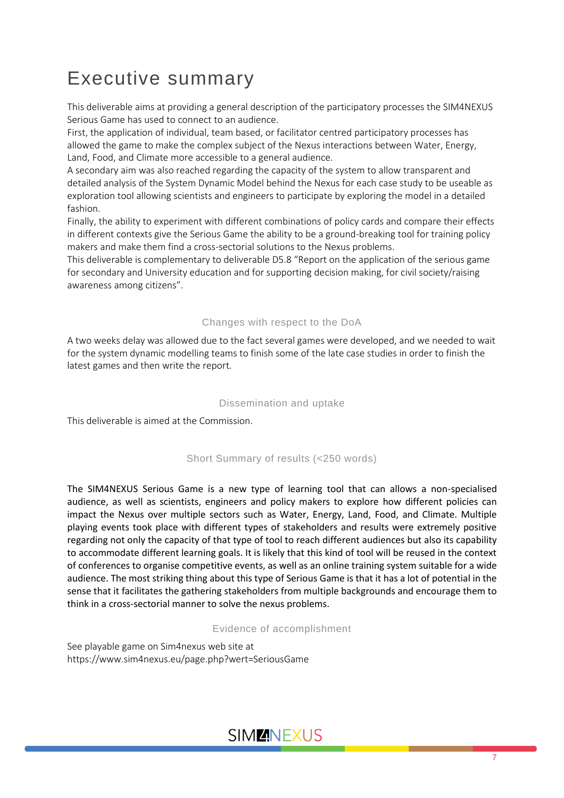## <span id="page-6-0"></span>Executive summary

This deliverable aims at providing a general description of the participatory processes the SIM4NEXUS Serious Game has used to connect to an audience.

First, the application of individual, team based, or facilitator centred participatory processes has allowed the game to make the complex subject of the Nexus interactions between Water, Energy, Land, Food, and Climate more accessible to a general audience.

A secondary aim was also reached regarding the capacity of the system to allow transparent and detailed analysis of the System Dynamic Model behind the Nexus for each case study to be useable as exploration tool allowing scientists and engineers to participate by exploring the model in a detailed fashion.

Finally, the ability to experiment with different combinations of policy cards and compare their effects in different contexts give the Serious Game the ability to be a ground-breaking tool for training policy makers and make them find a cross-sectorial solutions to the Nexus problems.

This deliverable is complementary to deliverable D5.8 "Report on the application of the serious game for secondary and University education and for supporting decision making, for civil society/raising awareness among citizens".

#### Changes with respect to the DoA

A two weeks delay was allowed due to the fact several games were developed, and we needed to wait for the system dynamic modelling teams to finish some of the late case studies in order to finish the latest games and then write the report.

#### Dissemination and uptake

This deliverable is aimed at the Commission.

#### Short Summary of results (<250 words)

The SIM4NEXUS Serious Game is a new type of learning tool that can allows a non-specialised audience, as well as scientists, engineers and policy makers to explore how different policies can impact the Nexus over multiple sectors such as Water, Energy, Land, Food, and Climate. Multiple playing events took place with different types of stakeholders and results were extremely positive regarding not only the capacity of that type of tool to reach different audiences but also its capability to accommodate different learning goals. It is likely that this kind of tool will be reused in the context of conferences to organise competitive events, as well as an online training system suitable for a wide audience. The most striking thing about this type of Serious Game is that it has a lot of potential in the sense that it facilitates the gathering stakeholders from multiple backgrounds and encourage them to think in a cross-sectorial manner to solve the nexus problems.

#### Evidence of accomplishment

See playable game on Sim4nexus web site at https://www.sim4nexus.eu/page.php?wert=SeriousGame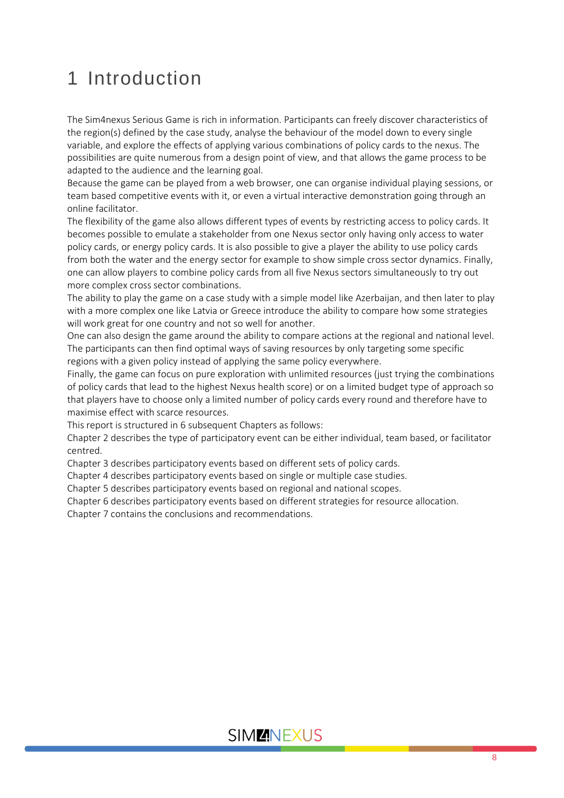## <span id="page-7-0"></span>1 Introduction

The Sim4nexus Serious Game is rich in information. Participants can freely discover characteristics of the region(s) defined by the case study, analyse the behaviour of the model down to every single variable, and explore the effects of applying various combinations of policy cards to the nexus. The possibilities are quite numerous from a design point of view, and that allows the game process to be adapted to the audience and the learning goal.

Because the game can be played from a web browser, one can organise individual playing sessions, or team based competitive events with it, or even a virtual interactive demonstration going through an online facilitator.

The flexibility of the game also allows different types of events by restricting access to policy cards. It becomes possible to emulate a stakeholder from one Nexus sector only having only access to water policy cards, or energy policy cards. It is also possible to give a player the ability to use policy cards from both the water and the energy sector for example to show simple cross sector dynamics. Finally, one can allow players to combine policy cards from all five Nexus sectors simultaneously to try out more complex cross sector combinations.

The ability to play the game on a case study with a simple model like Azerbaijan, and then later to play with a more complex one like Latvia or Greece introduce the ability to compare how some strategies will work great for one country and not so well for another.

One can also design the game around the ability to compare actions at the regional and national level. The participants can then find optimal ways of saving resources by only targeting some specific regions with a given policy instead of applying the same policy everywhere.

Finally, the game can focus on pure exploration with unlimited resources (just trying the combinations of policy cards that lead to the highest Nexus health score) or on a limited budget type of approach so that players have to choose only a limited number of policy cards every round and therefore have to maximise effect with scarce resources.

This report is structured in 6 subsequent Chapters as follows:

Chapter 2 describes the type of participatory event can be either individual, team based, or facilitator centred.

Chapter 3 describes participatory events based on different sets of policy cards.

Chapter 4 describes participatory events based on single or multiple case studies.

Chapter 5 describes participatory events based on regional and national scopes.

Chapter 6 describes participatory events based on different strategies for resource allocation.

Chapter 7 contains the conclusions and recommendations.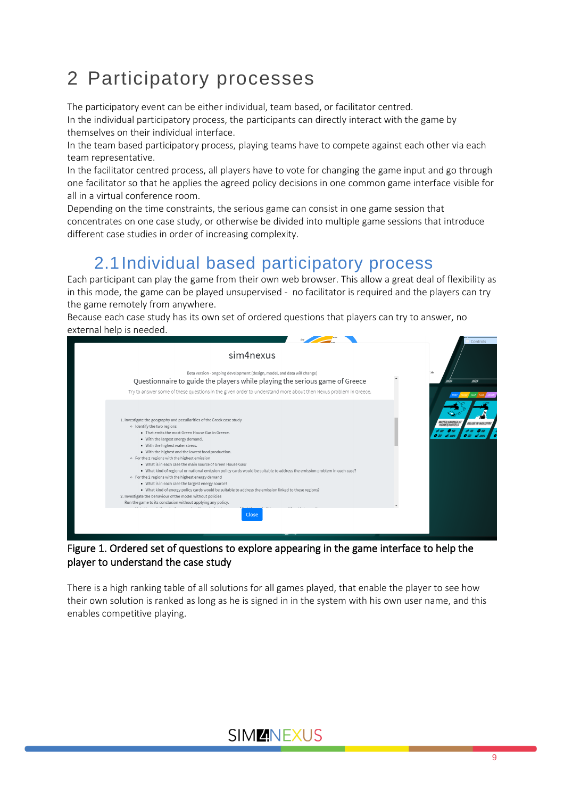## <span id="page-8-0"></span>2 Participatory processes

The participatory event can be either individual, team based, or facilitator centred.

In the individual participatory process, the participants can directly interact with the game by themselves on their individual interface.

In the team based participatory process, playing teams have to compete against each other via each team representative.

In the facilitator centred process, all players have to vote for changing the game input and go through one facilitator so that he applies the agreed policy decisions in one common game interface visible for all in a virtual conference room.

Depending on the time constraints, the serious game can consist in one game session that concentrates on one case study, or otherwise be divided into multiple game sessions that introduce different case studies in order of increasing complexity.

### 2.1Individual based participatory process

<span id="page-8-1"></span>Each participant can play the game from their own web browser. This allow a great deal of flexibility as in this mode, the game can be played unsupervised - no facilitator is required and the players can try the game remotely from anywhere.

Because each case study has its own set of ordered questions that players can try to answer, no external help is needed.

|                                                                                                                                                                                                                                        | Controls                                                                |
|----------------------------------------------------------------------------------------------------------------------------------------------------------------------------------------------------------------------------------------|-------------------------------------------------------------------------|
| sim4nexus                                                                                                                                                                                                                              |                                                                         |
| Beta version - ongoing development (design, model, and data will change)                                                                                                                                                               |                                                                         |
| Questionnaire to guide the players while playing the serious game of Greece                                                                                                                                                            | 2025<br>2020                                                            |
| Try to answer some of these questions in the given order to understand more about then Nexus problem in Greece.                                                                                                                        |                                                                         |
| 1. Investigate the geography and peculiarities of the Greek case study<br>o Identify the two regions<br>. That emits the most Green House Gas in Greece.<br>. With the largest energy demand.<br>. With the highest water stress.      | <i><b>WATER SAVINGS A</b></i><br>HOMES/HOTELS<br><b>REUSE IN INDUST</b> |
| . With the highest and the lowest food production.                                                                                                                                                                                     |                                                                         |
| o For the 2 regions with the highest emission                                                                                                                                                                                          |                                                                         |
| . What is in each case the main source of Green House Gas?                                                                                                                                                                             |                                                                         |
| - What kind of regional or national emission policy cards would be suitable to address the emission problem in each case?                                                                                                              |                                                                         |
| o For the 2 regions with the highest energy demand                                                                                                                                                                                     |                                                                         |
| . What is in each case the largest energy source?                                                                                                                                                                                      |                                                                         |
| . What kind of energy policy cards would be suitable to address the emission linked to these regions?                                                                                                                                  |                                                                         |
| 2. Investigate the behaviour of the model without policies                                                                                                                                                                             |                                                                         |
| Run the game to its conclusion without applying any policy.                                                                                                                                                                            |                                                                         |
| the company of the company of the company of the company of the company of the company of the company of the company of the company of the company of the company of the company of the company of the company of the company<br>Close |                                                                         |
|                                                                                                                                                                                                                                        |                                                                         |

Figure 1. Ordered set of questions to explore appearing in the game interface to help the player to understand the case study

There is a high ranking table of all solutions for all games played, that enable the player to see how their own solution is ranked as long as he is signed in in the system with his own user name, and this enables competitive playing.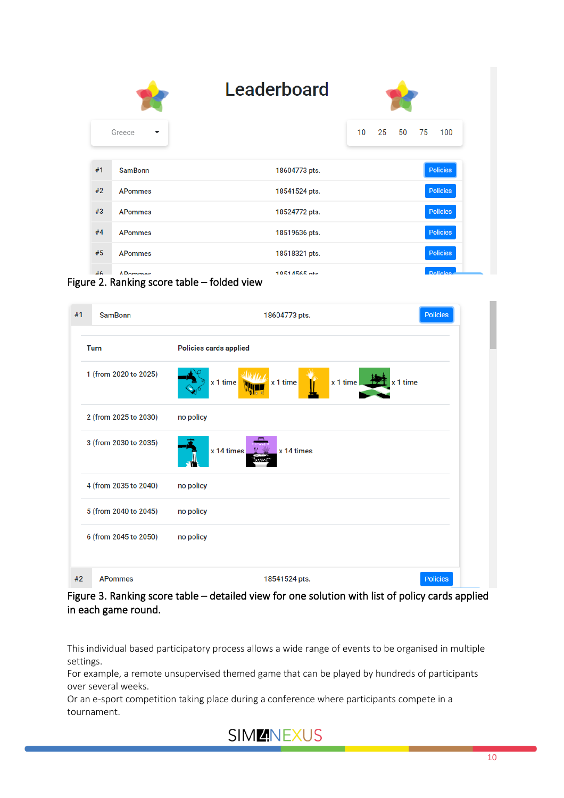| Leaderboard |                                    |               |                 |    |    |    |                 |
|-------------|------------------------------------|---------------|-----------------|----|----|----|-----------------|
|             | Greece<br>$\overline{\phantom{a}}$ |               | 10 <sup>°</sup> | 25 | 50 | 75 | 100             |
| #1          | <b>SamBonn</b>                     | 18604773 pts. |                 |    |    |    | <b>Policies</b> |
| #2          | <b>APommes</b>                     | 18541524 pts. |                 |    |    |    | <b>Policies</b> |
| #3          | <b>APommes</b>                     | 18524772 pts. |                 |    |    |    | <b>Policies</b> |
| #4          | <b>APommes</b>                     | 18519636 pts. |                 |    |    |    | <b>Policies</b> |
| #5          | <b>APommes</b>                     | 18518321 pts. |                 |    |    |    | <b>Policies</b> |
| #6          | <b>ADommon</b><br>.                | 10514565 nte  |                 |    |    |    | <b>Dolinies</b> |

Figure 2. Ranking score table – folded view

| #1 | <b>SamBonn</b>        | 18604773 pts.                                     | <b>Policies</b> |
|----|-----------------------|---------------------------------------------------|-----------------|
|    | <b>Turn</b>           | <b>Policies cards applied</b>                     |                 |
|    | 1 (from 2020 to 2025) | x 1 time $+2$<br>x 1 time<br>x 1 time<br>x 1 time |                 |
|    | 2 (from 2025 to 2030) | no policy                                         |                 |
|    | 3 (from 2030 to 2035) | x 14 times<br>x 14 times                          |                 |
|    | 4 (from 2035 to 2040) | no policy                                         |                 |
|    | 5 (from 2040 to 2045) | no policy                                         |                 |
|    | 6 (from 2045 to 2050) | no policy                                         |                 |
| #2 | <b>APommes</b>        | 18541524 pts.                                     | <b>Policies</b> |

Figure 3. Ranking score table – detailed view for one solution with list of policy cards applied in each game round.

This individual based participatory process allows a wide range of events to be organised in multiple settings.

For example, a remote unsupervised themed game that can be played by hundreds of participants over several weeks.

Or an e-sport competition taking place during a conference where participants compete in a tournament.

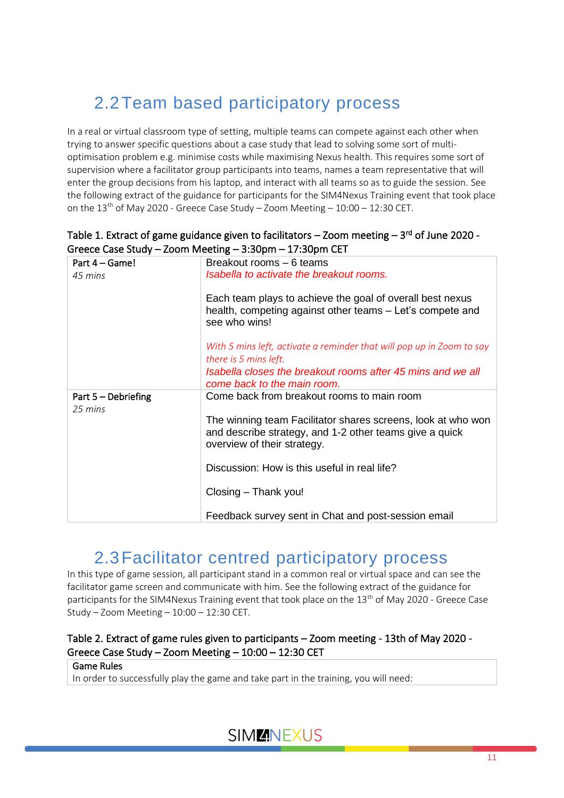## <span id="page-10-0"></span>2.2Team based participatory process

In a real or virtual classroom type of setting, multiple teams can compete against each other when trying to answer specific questions about a case study that lead to solving some sort of multioptimisation problem e.g. minimise costs while maximising Nexus health. This requires some sort of supervision where a facilitator group participants into teams, names a team representative that will enter the group decisions from his laptop, and interact with all teams so as to guide the session. See the following extract of the guidance for participants for the SIM4Nexus Training event that took place on the  $13<sup>th</sup>$  of May 2020 - Greece Case Study – Zoom Meeting –  $10:00 - 12:30$  CET.

|                                  | Greece case Study – Zooni ivieeting – S.Sophii – 17.Sophii CET                                                                                         |
|----------------------------------|--------------------------------------------------------------------------------------------------------------------------------------------------------|
| Part 4 – Game!                   | Breakout rooms - 6 teams                                                                                                                               |
| 45 mins                          | Isabella to activate the breakout rooms.                                                                                                               |
|                                  | Each team plays to achieve the goal of overall best nexus<br>health, competing against other teams - Let's compete and<br>see who wins!                |
|                                  | With 5 mins left, activate a reminder that will pop up in Zoom to say<br>there is 5 mins left.                                                         |
|                                  | Isabella closes the breakout rooms after 45 mins and we all<br>come back to the main room.                                                             |
| Part $5 -$ Debriefing<br>25 mins | Come back from breakout rooms to main room                                                                                                             |
|                                  | The winning team Facilitator shares screens, look at who won<br>and describe strategy, and 1-2 other teams give a quick<br>overview of their strategy. |
|                                  | Discussion: How is this useful in real life?                                                                                                           |
|                                  | Closing - Thank you!                                                                                                                                   |
|                                  | Feedback survey sent in Chat and post-session email                                                                                                    |

#### Table 1. Extract of game guidance given to facilitators – Zoom meeting – 3<sup>rd</sup> of June 2020 -Greece Case Study – Zoom Meeting – 3:30pm – 17:30pm CET

#### 2.3Facilitator centred participatory process

<span id="page-10-1"></span>In this type of game session, all participant stand in a common real or virtual space and can see the facilitator game screen and communicate with him. See the following extract of the guidance for participants for the SIM4Nexus Training event that took place on the  $13<sup>th</sup>$  of May 2020 - Greece Case Study – Zoom Meeting – 10:00 – 12:30 CET.

#### Table 2. Extract of game rules given to participants – Zoom meeting - 13th of May 2020 - Greece Case Study – Zoom Meeting – 10:00 – 12:30 CET

#### Game Rules

In order to successfully play the game and take part in the training, you will need: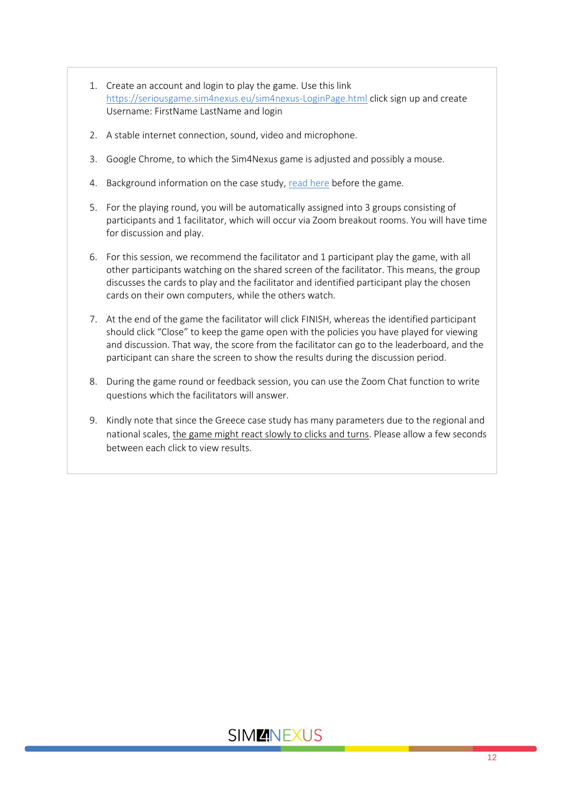- 1. Create an account and login to play the game. Use this link <https://seriousgame.sim4nexus.eu/sim4nexus-LoginPage.html> click sign up and create Username: FirstName LastName and login
- 2. A stable internet connection, sound, video and microphone.
- 3. Google Chrome, to which the Sim4Nexus game is adjusted and possibly a mouse.
- 4. Background information on the case study[, read here](https://www.sim4nexus.eu/page.php?wert=Casestudies&id=Greece) before the game.
- 5. For the playing round, you will be automatically assigned into 3 groups consisting of participants and 1 facilitator, which will occur via Zoom breakout rooms. You will have time for discussion and play.
- 6. For this session, we recommend the facilitator and 1 participant play the game, with all other participants watching on the shared screen of the facilitator. This means, the group discusses the cards to play and the facilitator and identified participant play the chosen cards on their own computers, while the others watch.
- 7. At the end of the game the facilitator will click FINISH, whereas the identified participant should click "Close" to keep the game open with the policies you have played for viewing and discussion. That way, the score from the facilitator can go to the leaderboard, and the participant can share the screen to show the results during the discussion period.
- 8. During the game round or feedback session, you can use the Zoom Chat function to write questions which the facilitators will answer.
- 9. Kindly note that since the Greece case study has many parameters due to the regional and national scales, the game might react slowly to clicks and turns. Please allow a few seconds between each click to view results.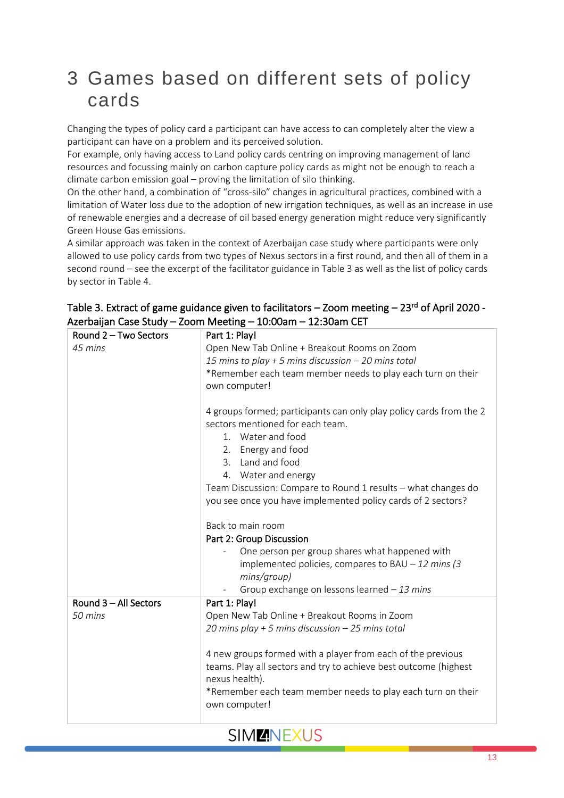## <span id="page-12-0"></span>3 Games based on different sets of policy cards

Changing the types of policy card a participant can have access to can completely alter the view a participant can have on a problem and its perceived solution.

For example, only having access to Land policy cards centring on improving management of land resources and focussing mainly on carbon capture policy cards as might not be enough to reach a climate carbon emission goal – proving the limitation of silo thinking.

On the other hand, a combination of "cross-silo" changes in agricultural practices, combined with a limitation of Water loss due to the adoption of new irrigation techniques, as well as an increase in use of renewable energies and a decrease of oil based energy generation might reduce very significantly Green House Gas emissions.

A similar approach was taken in the context of Azerbaijan case study where participants were only allowed to use policy cards from two types of Nexus sectors in a first round, and then all of them in a second round – see the excerpt of the facilitator guidance in Table 3 as well as the list of policy cards by sector in Table 4.

| Round 2 - Two Sectors | Part 1: Play!                                                            |
|-----------------------|--------------------------------------------------------------------------|
| 45 mins               | Open New Tab Online + Breakout Rooms on Zoom                             |
|                       | 15 mins to play + 5 mins discussion $-$ 20 mins total                    |
|                       | *Remember each team member needs to play each turn on their              |
|                       | own computer!                                                            |
|                       |                                                                          |
|                       | 4 groups formed; participants can only play policy cards from the 2      |
|                       | sectors mentioned for each team.                                         |
|                       | 1. Water and food                                                        |
|                       | 2. Energy and food                                                       |
|                       | Land and food<br>3.                                                      |
|                       | 4. Water and energy                                                      |
|                       | Team Discussion: Compare to Round 1 results - what changes do            |
|                       | you see once you have implemented policy cards of 2 sectors?             |
|                       |                                                                          |
|                       | Back to main room                                                        |
|                       | Part 2: Group Discussion                                                 |
|                       | One person per group shares what happened with                           |
|                       | implemented policies, compares to BAU $-12$ mins (3)                     |
|                       | mins/group)                                                              |
|                       | Group exchange on lessons learned $-13$ mins<br>$\overline{\phantom{a}}$ |
| Round 3 - All Sectors | Part 1: Play!                                                            |
| 50 mins               | Open New Tab Online + Breakout Rooms in Zoom                             |
|                       | 20 mins play + 5 mins discussion $-$ 25 mins total                       |
|                       |                                                                          |
|                       | 4 new groups formed with a player from each of the previous              |
|                       | teams. Play all sectors and try to achieve best outcome (highest         |
|                       | nexus health).                                                           |
|                       | *Remember each team member needs to play each turn on their              |
|                       | own computer!                                                            |
|                       |                                                                          |

#### Table 3. Extract of game guidance given to facilitators – Zoom meeting – 23<sup>rd</sup> of April 2020 -Azerbaijan Case Study – Zoom Meeting – 10:00am – 12:30am CET

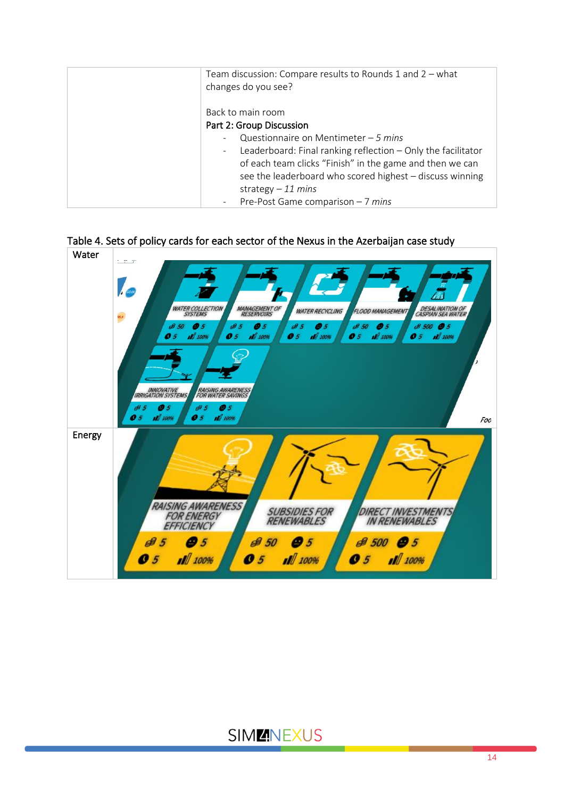| Team discussion: Compare results to Rounds 1 and 2 - what<br>changes do you see?                                                                                                                                                                                                                                                    |
|-------------------------------------------------------------------------------------------------------------------------------------------------------------------------------------------------------------------------------------------------------------------------------------------------------------------------------------|
| Back to main room<br>Part 2: Group Discussion<br>Questionnaire on Mentimeter $-5$ mins<br>Leaderboard: Final ranking reflection $-$ Only the facilitator<br>$\overline{\phantom{a}}$<br>of each team clicks "Finish" in the game and then we can<br>see the leaderboard who scored highest - discuss winning<br>strategy $-11$ mins |
| Pre-Post Game comparison $-7$ mins                                                                                                                                                                                                                                                                                                  |



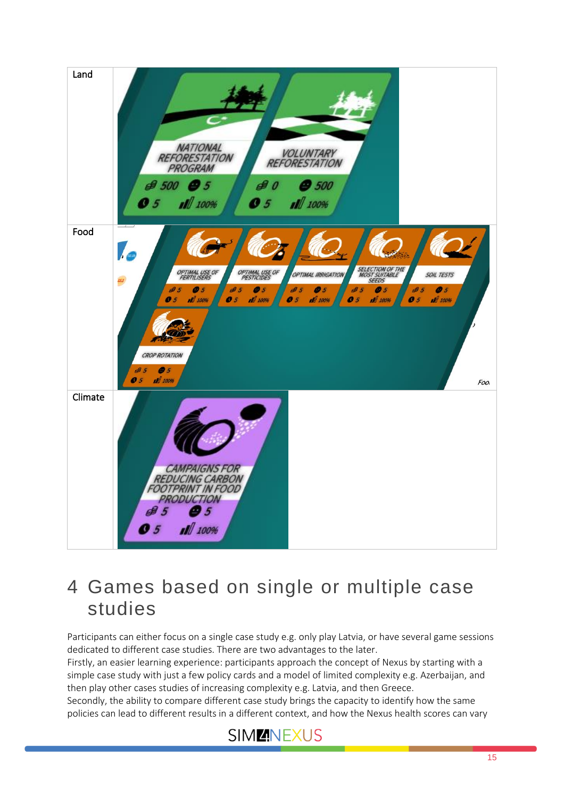

## <span id="page-14-0"></span>4 Games based on single or multiple case studies

Participants can either focus on a single case study e.g. only play Latvia, or have several game sessions dedicated to different case studies. There are two advantages to the later.

Firstly, an easier learning experience: participants approach the concept of Nexus by starting with a simple case study with just a few policy cards and a model of limited complexity e.g. Azerbaijan, and then play other cases studies of increasing complexity e.g. Latvia, and then Greece.

Secondly, the ability to compare different case study brings the capacity to identify how the same policies can lead to different results in a different context, and how the Nexus health scores can vary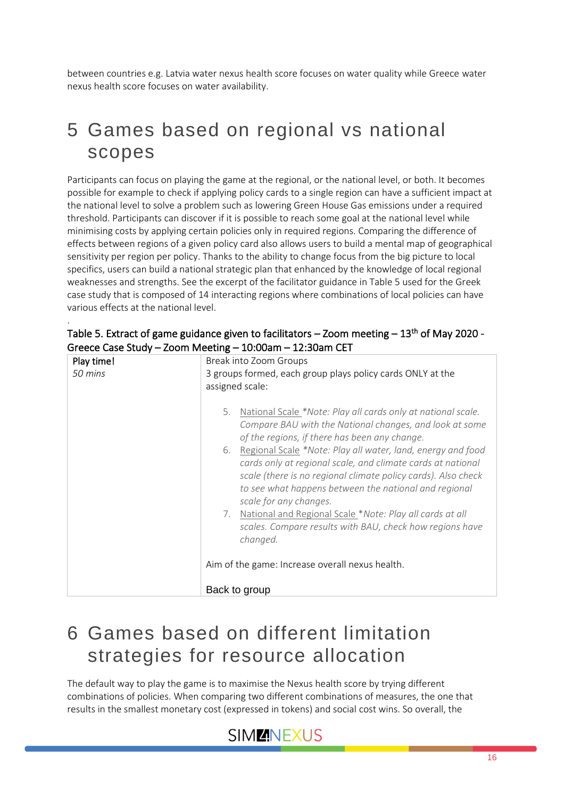between countries e.g. Latvia water nexus health score focuses on water quality while Greece water nexus health score focuses on water availability.

## <span id="page-15-0"></span>5 Games based on regional vs national scopes

Participants can focus on playing the game at the regional, or the national level, or both. It becomes possible for example to check if applying policy cards to a single region can have a sufficient impact at the national level to solve a problem such as lowering Green House Gas emissions under a required threshold. Participants can discover if it is possible to reach some goal at the national level while minimising costs by applying certain policies only in required regions. Comparing the difference of effects between regions of a given policy card also allows users to build a mental map of geographical sensitivity per region per policy. Thanks to the ability to change focus from the big picture to local specifics, users can build a national strategic plan that enhanced by the knowledge of local regional weaknesses and strengths. See the excerpt of the facilitator guidance in Table 5 used for the Greek case study that is composed of 14 interacting regions where combinations of local policies can have various effects at the national level.

| Play time! | Break into Zoom Groups                                                                                                                                                                                                                                                               |
|------------|--------------------------------------------------------------------------------------------------------------------------------------------------------------------------------------------------------------------------------------------------------------------------------------|
| 50 mins    | 3 groups formed, each group plays policy cards ONLY at the<br>assigned scale:                                                                                                                                                                                                        |
|            | National Scale *Note: Play all cards only at national scale.<br>5.<br>Compare BAU with the National changes, and look at some<br>of the regions, if there has been any change.                                                                                                       |
|            | Regional Scale *Note: Play all water, land, energy and food<br>6.<br>cards only at regional scale, and climate cards at national<br>scale (there is no regional climate policy cards). Also check<br>to see what happens between the national and regional<br>scale for any changes. |
|            | National and Regional Scale *Note: Play all cards at all<br>7.<br>scales. Compare results with BAU, check how regions have<br>changed.                                                                                                                                               |
|            | Aim of the game: Increase overall nexus health.                                                                                                                                                                                                                                      |
|            | Back to group                                                                                                                                                                                                                                                                        |

Table 5. Extract of game guidance given to facilitators – Zoom meeting – 13<sup>th</sup> of May 2020 -Greece Case Study – Zoom Meeting – 10:00am – 12:30am CET

.

## <span id="page-15-1"></span>6 Games based on different limitation strategies for resource allocation

The default way to play the game is to maximise the Nexus health score by trying different combinations of policies. When comparing two different combinations of measures, the one that results in the smallest monetary cost (expressed in tokens) and social cost wins. So overall, the

### SIM**ENEXUS**